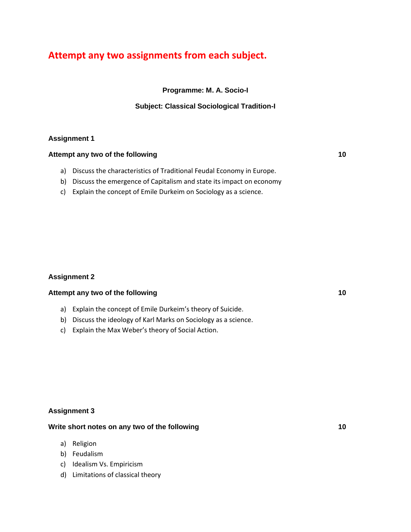# **Attempt any two assignments from each subject.**

**Programme: M. A. Socio-I**

### **Subject: Classical Sociological Tradition-I**

### **Assignment 1**

### **Attempt any two of the following 10**

- a) Discuss the characteristics of Traditional Feudal Economy in Europe.
- b) Discuss the emergence of Capitalism and state its impact on economy
- c) Explain the concept of Emile Durkeim on Sociology as a science.

## **Assignment 2**

### **Attempt any two of the following 10**

- a) Explain the concept of Emile Durkeim's theory of Suicide.
- b) Discuss the ideology of Karl Marks on Sociology as a science.
- c) Explain the Max Weber's theory of Social Action.

## **Assignment 3**

### **Write short notes on any two of the following 10**

- a) Religion
- b) Feudalism
- c) Idealism Vs. Empiricism
- d) Limitations of classical theory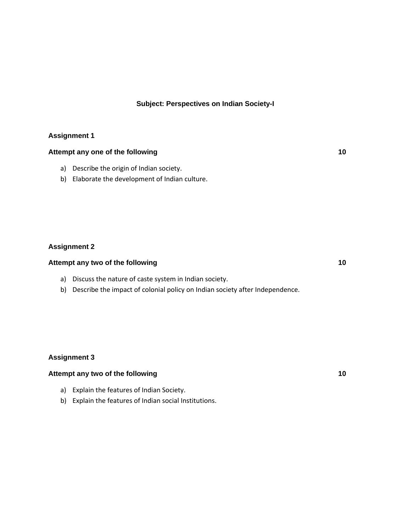### **Subject: Perspectives on Indian Society-I**

### **Assignment 1**

## **Attempt any one of the following 10**

- a) Describe the origin of Indian society.
- b) Elaborate the development of Indian culture.

### **Assignment 2**

### **Attempt any two of the following 10**

- a) Discuss the nature of caste system in Indian society.
- b) Describe the impact of colonial policy on Indian society after Independence.

### **Assignment 3**

# **Attempt any two of the following 10**

- a) Explain the features of Indian Society.
- b) Explain the features of Indian social Institutions.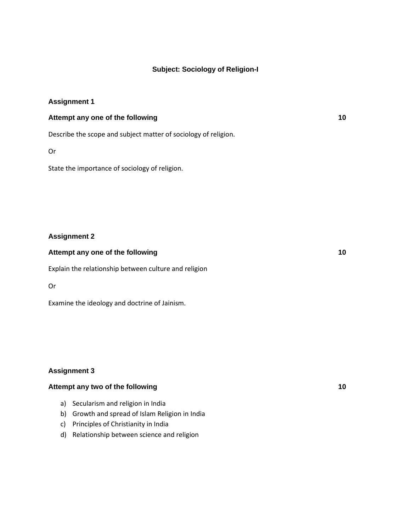### **Subject: Sociology of Religion-I**

### **Assignment 1**

### **Attempt any one of the following 10**

Describe the scope and subject matter of sociology of religion.

Or

State the importance of sociology of religion.

### **Assignment 2**

# **Attempt any one of the following 10** Explain the relationship between culture and religion

Or

Examine the ideology and doctrine of Jainism.

### **Assignment 3**

### **Attempt any two of the following 10**

- a) Secularism and religion in India
- b) Growth and spread of Islam Religion in India
- c) Principles of Christianity in India
- d) Relationship between science and religion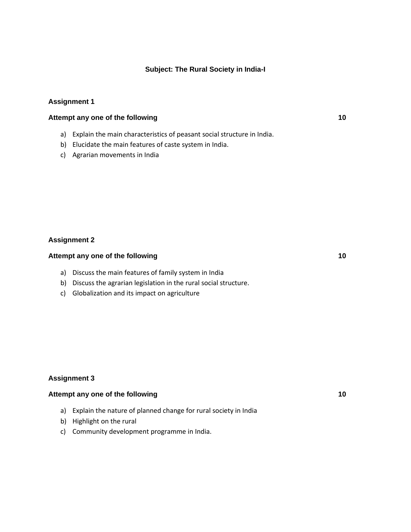### **Subject: The Rural Society in India-I**

### **Assignment 1**

#### **Attempt any one of the following 10**

- a) Explain the main characteristics of peasant social structure in India.
- b) Elucidate the main features of caste system in India.
- c) Agrarian movements in India

### **Assignment 2**

### **Attempt any one of the following 10**

- a) Discuss the main features of family system in India
- b) Discuss the agrarian legislation in the rural social structure.
- c) Globalization and its impact on agriculture

### **Assignment 3**

### **Attempt any one of the following 10**

- a) Explain the nature of planned change for rural society in India
- b) Highlight on the rural
- c) Community development programme in India.